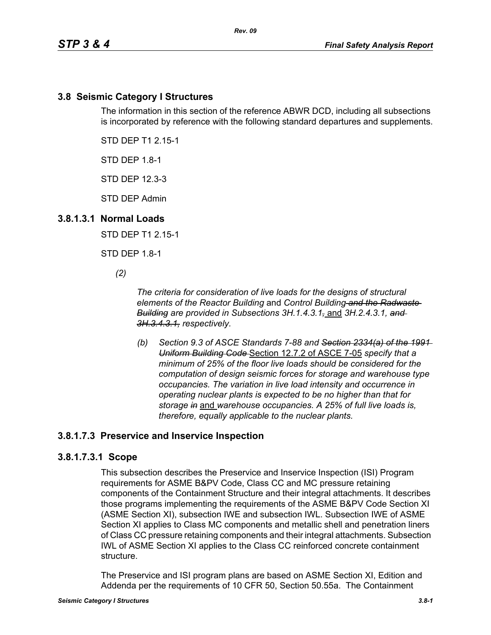## **3.8 Seismic Category I Structures**

The information in this section of the reference ABWR DCD, including all subsections is incorporated by reference with the following standard departures and supplements.

STD DEP T1 2.15-1

STD DEP 1.8-1

STD DEP 12.3-3

STD DEP Admin

#### **3.8.1.3.1 Normal Loads**

STD DEP T1 2.15-1

STD DEP 1.8-1

*(2)*

*The criteria for consideration of live loads for the designs of structural elements of the Reactor Building* and *Control Building and the Radwaste Building are provided in Subsections 3H.1.4.3.1,* and *3H.2.4.3.1, and 3H.3.4.3.1, respectively.*

*(b) Section 9.3 of ASCE Standards 7-88 and Section 2334(a) of the 1991 Uniform Building Code* Section 12.7.2 of ASCE 7-05 *specify that a minimum of 25% of the floor live loads should be considered for the computation of design seismic forces for storage and warehouse type occupancies. The variation in live load intensity and occurrence in operating nuclear plants is expected to be no higher than that for storage in* and *warehouse occupancies. A 25% of full live loads is, therefore, equally applicable to the nuclear plants.*

## **3.8.1.7.3 Preservice and Inservice Inspection**

#### **3.8.1.7.3.1 Scope**

This subsection describes the Preservice and Inservice Inspection (ISI) Program requirements for ASME B&PV Code, Class CC and MC pressure retaining components of the Containment Structure and their integral attachments. It describes those programs implementing the requirements of the ASME B&PV Code Section XI (ASME Section XI), subsection IWE and subsection IWL. Subsection IWE of ASME Section XI applies to Class MC components and metallic shell and penetration liners of Class CC pressure retaining components and their integral attachments. Subsection IWL of ASME Section XI applies to the Class CC reinforced concrete containment structure.

The Preservice and ISI program plans are based on ASME Section XI, Edition and Addenda per the requirements of 10 CFR 50, Section 50.55a. The Containment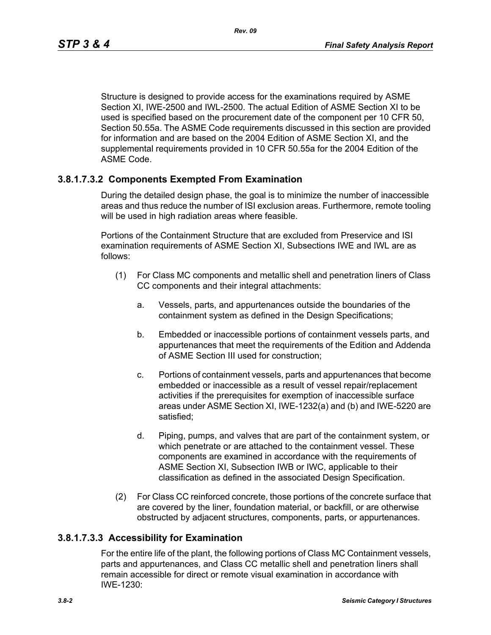Structure is designed to provide access for the examinations required by ASME Section XI, IWE-2500 and IWL-2500. The actual Edition of ASME Section XI to be used is specified based on the procurement date of the component per 10 CFR 50, Section 50.55a. The ASME Code requirements discussed in this section are provided for information and are based on the 2004 Edition of ASME Section XI, and the supplemental requirements provided in 10 CFR 50.55a for the 2004 Edition of the ASME Code.

## **3.8.1.7.3.2 Components Exempted From Examination**

During the detailed design phase, the goal is to minimize the number of inaccessible areas and thus reduce the number of ISI exclusion areas. Furthermore, remote tooling will be used in high radiation areas where feasible.

Portions of the Containment Structure that are excluded from Preservice and ISI examination requirements of ASME Section XI, Subsections IWE and IWL are as follows:

- (1) For Class MC components and metallic shell and penetration liners of Class CC components and their integral attachments:
	- a. Vessels, parts, and appurtenances outside the boundaries of the containment system as defined in the Design Specifications;
	- b. Embedded or inaccessible portions of containment vessels parts, and appurtenances that meet the requirements of the Edition and Addenda of ASME Section III used for construction;
	- c. Portions of containment vessels, parts and appurtenances that become embedded or inaccessible as a result of vessel repair/replacement activities if the prerequisites for exemption of inaccessible surface areas under ASME Section XI, IWE-1232(a) and (b) and IWE-5220 are satisfied;
	- d. Piping, pumps, and valves that are part of the containment system, or which penetrate or are attached to the containment vessel. These components are examined in accordance with the requirements of ASME Section XI, Subsection IWB or IWC, applicable to their classification as defined in the associated Design Specification.
- (2) For Class CC reinforced concrete, those portions of the concrete surface that are covered by the liner, foundation material, or backfill, or are otherwise obstructed by adjacent structures, components, parts, or appurtenances.

## **3.8.1.7.3.3 Accessibility for Examination**

For the entire life of the plant, the following portions of Class MC Containment vessels, parts and appurtenances, and Class CC metallic shell and penetration liners shall remain accessible for direct or remote visual examination in accordance with IWE-1230: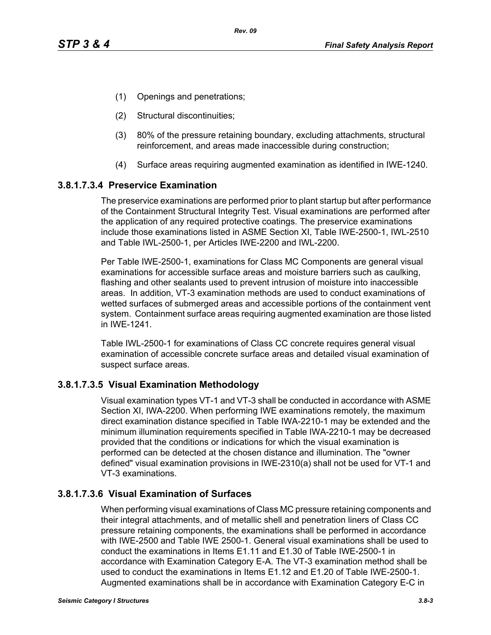- (1) Openings and penetrations;
- (2) Structural discontinuities;
- (3) 80% of the pressure retaining boundary, excluding attachments, structural reinforcement, and areas made inaccessible during construction;
- (4) Surface areas requiring augmented examination as identified in IWE-1240.

## **3.8.1.7.3.4 Preservice Examination**

The preservice examinations are performed prior to plant startup but after performance of the Containment Structural Integrity Test. Visual examinations are performed after the application of any required protective coatings. The preservice examinations include those examinations listed in ASME Section XI, Table IWE-2500-1, IWL-2510 and Table IWL-2500-1, per Articles IWE-2200 and IWL-2200.

Per Table IWE-2500-1, examinations for Class MC Components are general visual examinations for accessible surface areas and moisture barriers such as caulking, flashing and other sealants used to prevent intrusion of moisture into inaccessible areas. In addition, VT-3 examination methods are used to conduct examinations of wetted surfaces of submerged areas and accessible portions of the containment vent system. Containment surface areas requiring augmented examination are those listed in IWE-1241.

Table IWL-2500-1 for examinations of Class CC concrete requires general visual examination of accessible concrete surface areas and detailed visual examination of suspect surface areas.

## **3.8.1.7.3.5 Visual Examination Methodology**

Visual examination types VT-1 and VT-3 shall be conducted in accordance with ASME Section XI, IWA-2200. When performing IWE examinations remotely, the maximum direct examination distance specified in Table IWA-2210-1 may be extended and the minimum illumination requirements specified in Table IWA-2210-1 may be decreased provided that the conditions or indications for which the visual examination is performed can be detected at the chosen distance and illumination. The "owner defined" visual examination provisions in IWE-2310(a) shall not be used for VT-1 and VT-3 examinations.

# **3.8.1.7.3.6 Visual Examination of Surfaces**

When performing visual examinations of Class MC pressure retaining components and their integral attachments, and of metallic shell and penetration liners of Class CC pressure retaining components, the examinations shall be performed in accordance with IWE-2500 and Table IWE 2500-1. General visual examinations shall be used to conduct the examinations in Items E1.11 and E1.30 of Table IWE-2500-1 in accordance with Examination Category E-A. The VT-3 examination method shall be used to conduct the examinations in Items E1.12 and E1.20 of Table IWE-2500-1. Augmented examinations shall be in accordance with Examination Category E-C in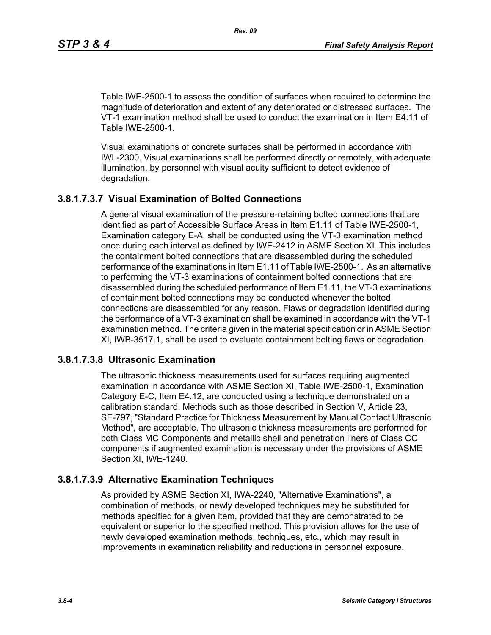Table IWE-2500-1 to assess the condition of surfaces when required to determine the magnitude of deterioration and extent of any deteriorated or distressed surfaces. The VT-1 examination method shall be used to conduct the examination in Item E4.11 of Table IWE-2500-1.

Visual examinations of concrete surfaces shall be performed in accordance with IWL-2300. Visual examinations shall be performed directly or remotely, with adequate illumination, by personnel with visual acuity sufficient to detect evidence of degradation.

# **3.8.1.7.3.7 Visual Examination of Bolted Connections**

A general visual examination of the pressure-retaining bolted connections that are identified as part of Accessible Surface Areas in Item E1.11 of Table IWE-2500-1, Examination category E-A, shall be conducted using the VT-3 examination method once during each interval as defined by IWE-2412 in ASME Section XI. This includes the containment bolted connections that are disassembled during the scheduled performance of the examinations in Item E1.11 of Table IWE-2500-1. As an alternative to performing the VT-3 examinations of containment bolted connections that are disassembled during the scheduled performance of Item E1.11, the VT-3 examinations of containment bolted connections may be conducted whenever the bolted connections are disassembled for any reason. Flaws or degradation identified during the performance of a VT-3 examination shall be examined in accordance with the VT-1 examination method. The criteria given in the material specification or in ASME Section XI, IWB-3517.1, shall be used to evaluate containment bolting flaws or degradation.

# **3.8.1.7.3.8 Ultrasonic Examination**

The ultrasonic thickness measurements used for surfaces requiring augmented examination in accordance with ASME Section XI, Table IWE-2500-1, Examination Category E-C, Item E4.12, are conducted using a technique demonstrated on a calibration standard. Methods such as those described in Section V, Article 23, SE-797, "Standard Practice for Thickness Measurement by Manual Contact Ultrasonic Method", are acceptable. The ultrasonic thickness measurements are performed for both Class MC Components and metallic shell and penetration liners of Class CC components if augmented examination is necessary under the provisions of ASME Section XI, IWE-1240.

# **3.8.1.7.3.9 Alternative Examination Techniques**

As provided by ASME Section XI, IWA-2240, "Alternative Examinations", a combination of methods, or newly developed techniques may be substituted for methods specified for a given item, provided that they are demonstrated to be equivalent or superior to the specified method. This provision allows for the use of newly developed examination methods, techniques, etc., which may result in improvements in examination reliability and reductions in personnel exposure.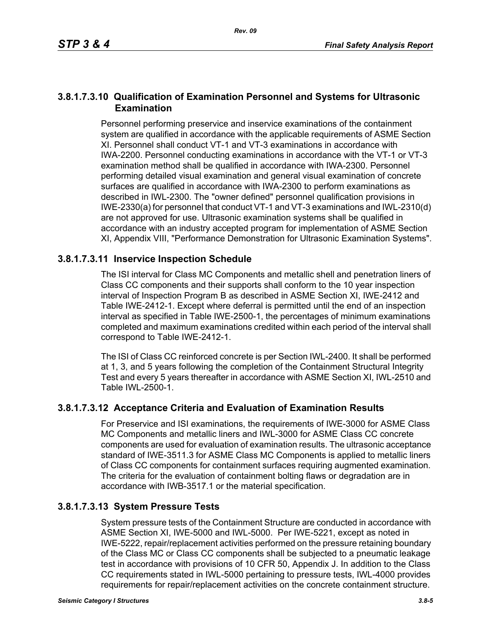#### **3.8.1.7.3.10 Qualification of Examination Personnel and Systems for Ultrasonic Examination**

Personnel performing preservice and inservice examinations of the containment system are qualified in accordance with the applicable requirements of ASME Section XI. Personnel shall conduct VT-1 and VT-3 examinations in accordance with IWA-2200. Personnel conducting examinations in accordance with the VT-1 or VT-3 examination method shall be qualified in accordance with IWA-2300. Personnel performing detailed visual examination and general visual examination of concrete surfaces are qualified in accordance with IWA-2300 to perform examinations as described in IWL-2300. The "owner defined" personnel qualification provisions in IWE-2330(a) for personnel that conduct VT-1 and VT-3 examinations and IWL-2310(d) are not approved for use. Ultrasonic examination systems shall be qualified in accordance with an industry accepted program for implementation of ASME Section XI, Appendix VIII, "Performance Demonstration for Ultrasonic Examination Systems".

## **3.8.1.7.3.11 Inservice Inspection Schedule**

The ISI interval for Class MC Components and metallic shell and penetration liners of Class CC components and their supports shall conform to the 10 year inspection interval of Inspection Program B as described in ASME Section XI, IWE-2412 and Table IWE-2412-1. Except where deferral is permitted until the end of an inspection interval as specified in Table IWE-2500-1, the percentages of minimum examinations completed and maximum examinations credited within each period of the interval shall correspond to Table IWE-2412-1.

The ISI of Class CC reinforced concrete is per Section IWL-2400. It shall be performed at 1, 3, and 5 years following the completion of the Containment Structural Integrity Test and every 5 years thereafter in accordance with ASME Section XI, IWL-2510 and Table IWL-2500-1.

## **3.8.1.7.3.12 Acceptance Criteria and Evaluation of Examination Results**

For Preservice and ISI examinations, the requirements of IWE-3000 for ASME Class MC Components and metallic liners and IWL-3000 for ASME Class CC concrete components are used for evaluation of examination results. The ultrasonic acceptance standard of IWE-3511.3 for ASME Class MC Components is applied to metallic liners of Class CC components for containment surfaces requiring augmented examination. The criteria for the evaluation of containment bolting flaws or degradation are in accordance with IWB-3517.1 or the material specification.

## **3.8.1.7.3.13 System Pressure Tests**

System pressure tests of the Containment Structure are conducted in accordance with ASME Section XI, IWE-5000 and IWL-5000. Per IWE-5221, except as noted in IWE-5222, repair/replacement activities performed on the pressure retaining boundary of the Class MC or Class CC components shall be subjected to a pneumatic leakage test in accordance with provisions of 10 CFR 50, Appendix J. In addition to the Class CC requirements stated in IWL-5000 pertaining to pressure tests, IWL-4000 provides requirements for repair/replacement activities on the concrete containment structure.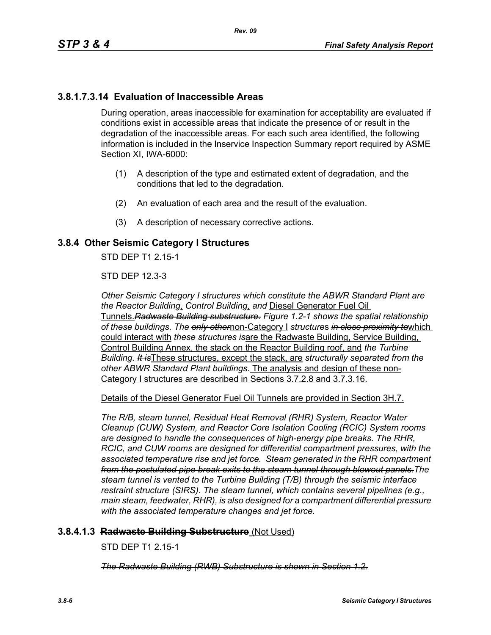## **3.8.1.7.3.14 Evaluation of Inaccessible Areas**

During operation, areas inaccessible for examination for acceptability are evaluated if conditions exist in accessible areas that indicate the presence of or result in the degradation of the inaccessible areas. For each such area identified, the following information is included in the Inservice Inspection Summary report required by ASME Section XI, IWA-6000:

- (1) A description of the type and estimated extent of degradation, and the conditions that led to the degradation.
- (2) An evaluation of each area and the result of the evaluation.
- (3) A description of necessary corrective actions.

#### **3.8.4 Other Seismic Category I Structures**

STD DEP T1 2 15-1

STD DEP 12.3-3

*Other Seismic Category I structures which constitute the ABWR Standard Plant are the Reactor Building*, *Control Building*, *and* Diesel Generator Fuel Oil Tunnels.*Radwaste Building substructure. Figure 1.2-1 shows the spatial relationship of these buildings. The only other*non-Category I *structure*s *in close proximity to*which could interact with *these structures is*are the Radwaste Building, Service Building, Control Building Annex, the stack on the Reactor Building roof, and *the Turbine Building. It is*These structures, except the stack, are *structurally separated from the other ABWR Standard Plant buildings.* The analysis and design of these non-Category I structures are described in Sections 3.7.2.8 and 3.7.3.16.

Details of the Diesel Generator Fuel Oil Tunnels are provided in Section 3H.7.

*The R/B, steam tunnel, Residual Heat Removal (RHR) System, Reactor Water Cleanup (CUW) System, and Reactor Core Isolation Cooling (RCIC) System rooms are designed to handle the consequences of high-energy pipe breaks. The RHR, RCIC, and CUW rooms are designed for differential compartment pressures, with the associated temperature rise and jet force. Steam generated in the RHR compartment from the postulated pipe break exits to the steam tunnel through blowout panels.The steam tunnel is vented to the Turbine Building (T/B) through the seismic interface restraint structure (SIRS). The steam tunnel, which contains several pipelines (e.g., main steam, feedwater, RHR), is also designed for a compartment differential pressure with the associated temperature changes and jet force.*

#### **3.8.4.1.3 Radwaste Building Substructure** (Not Used)

STD DEP T1 2.15-1

*The Radwaste Building (RWB) Substructure is shown in Section 1.2.*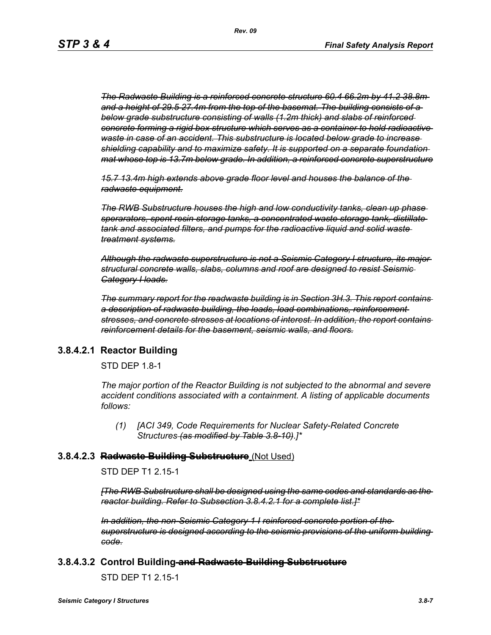*The Radwaste Building is a reinforced concrete structure 60.4 66.2m by 41.2 38.8m and a height of 29.5 27.4m from the top of the basemat. The building consists of a below grade substructure consisting of walls (1.2m thick) and slabs of reinforced concrete forming a rigid box structure which serves as a container to hold radioactive waste in case of an accident. This substructure is located below grade to increase shielding capability and to maximize safety. It is supported on a separate foundation mat whose top is 13.7m below grade. In addition, a reinforced concrete superstructure*

*15.7 13.4m high extends above grade floor level and houses the balance of the radwaste equipment.*

*The RWB Substructure houses the high and low conductivity tanks, clean up phase sperarators, spent resin storage tanks, a concentrated waste storage tank, distillate tank and associated filters, and pumps for the radioactive liquid and solid waste treatment systems.*

*Although the radwaste superstructure is not a Seismic Category I structure, its major structural concrete walls, slabs, columns and roof are designed to resist Seismic Category I loads.*

*The summary report for the readwaste building is in Section 3H.3. This report contains a description of radwaste building, the loads, load combinations, reinforcement stresses, and concrete stresses at locations of interest. In addition, the report contains reinforcement details for the basement, seismic walls, and floors.*

#### **3.8.4.2.1 Reactor Building**

STD DEP 1.8-1

*The major portion of the Reactor Building is not subjected to the abnormal and severe accident conditions associated with a containment. A listing of applicable documents follows:*

*(1) [ACI 349, Code Requirements for Nuclear Safety-Related Concrete Structures (as modified by Table 3.8-10)*.*]\**

#### **3.8.4.2.3 Radwaste Building Substructure** (Not Used)

STD DEP T1 2.15-1

*[The RWB Substructure shall be designed using the same codes and standards as the reactor building. Refer to Subsection 3.8.4.2.1 for a complete list.]\**

*In addition, the non-Seismic Category 1 I reinforced concrete portion of the superstructure is designed according to the seismic provisions of the uniform building code.*

#### **3.8.4.3.2 Control Building and Radwaste Building Substructure**

STD DEP T1 2.15-1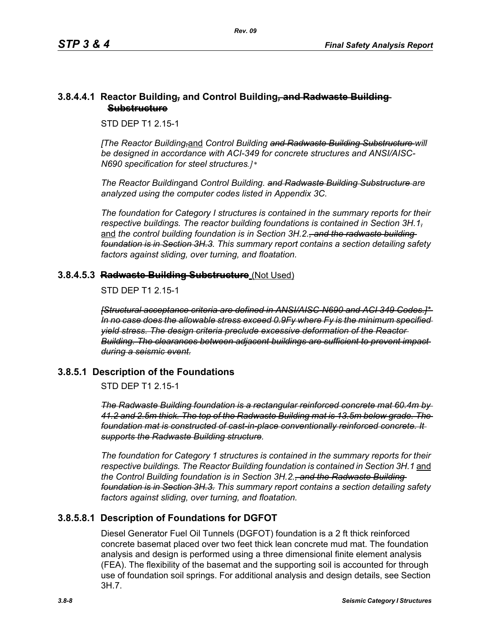#### **3.8.4.4.1 Reactor Building***,* **and Control Building***,* **and Radwaste Building Substructure**

STD DEP T1 2.15-1

*[The Reactor Building,*and *Control Building and Radwaste Building Substructure will be designed in accordance with ACI-349 for concrete structures and ANSI/AISC-N690 specification for steel structures.]\** 

*The Reactor Building*and *Control Building. and Radwaste Building Substructure are analyzed using the computer codes listed in Appendix 3C.* 

*The foundation for Category I structures is contained in the summary reports for their respective buildings. The reactor building foundations is contained in Section 3H.1,* and the control building foundation is in Section 3H.2.<del>, and the radwaste building</del> *foundation is in Section 3H.3. This summary report contains a section detailing safety factors against sliding, over turning, and floatation.*

## **3.8.4.5.3 Radwaste Building Substructure** (Not Used)

STD DEP T1 2 15-1

*[Structural acceptance criteria are defined in ANSI/AISC-N690 and ACI 349 Codes.]\* In no case does the allowable stress exceed 0.9Fy where Fy is the minimum specified yield stress. The design criteria preclude excessive deformation of the Reactor Building. The clearances between adjacent buildings are sufficient to prevent impact during a seismic event.*

## **3.8.5.1 Description of the Foundations**

STD DEP T1 2.15-1

*The Radwaste Building foundation is a rectangular reinforced concrete mat 60.4m by 41.2 and 2.5m thick. The top of the Radwaste Building mat is 13.5m below grade. The foundation mat is constructed of cast-in-place conventionally reinforced concrete. It supports the Radwaste Building structure.*

*The foundation for Category 1 structures is contained in the summary reports for their respective buildings. The Reactor Building foundation is contained in Section 3H.1* and *the Control Building foundation is in Section 3H.2., and the Radwaste Building foundation is in Section 3H.3. This summary report contains a section detailing safety factors against sliding, over turning, and floatation.*

# **3.8.5.8.1 Description of Foundations for DGFOT**

Diesel Generator Fuel Oil Tunnels (DGFOT) foundation is a 2 ft thick reinforced concrete basemat placed over two feet thick lean concrete mud mat. The foundation analysis and design is performed using a three dimensional finite element analysis (FEA). The flexibility of the basemat and the supporting soil is accounted for through use of foundation soil springs. For additional analysis and design details, see Section 3H.7.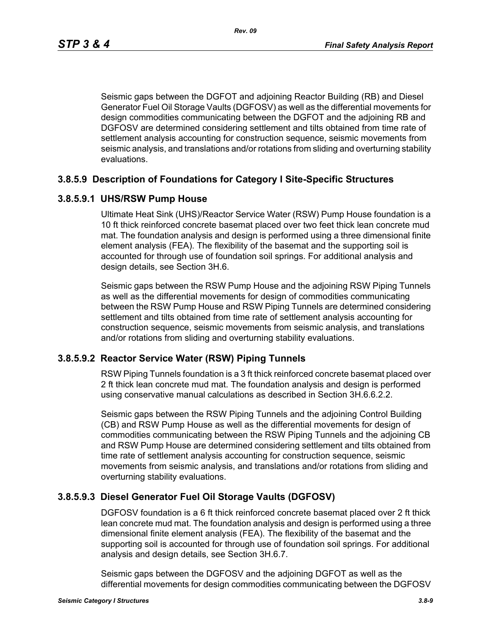Seismic gaps between the DGFOT and adjoining Reactor Building (RB) and Diesel Generator Fuel Oil Storage Vaults (DGFOSV) as well as the differential movements for design commodities communicating between the DGFOT and the adjoining RB and DGFOSV are determined considering settlement and tilts obtained from time rate of settlement analysis accounting for construction sequence, seismic movements from seismic analysis, and translations and/or rotations from sliding and overturning stability evaluations.

#### **3.8.5.9 Description of Foundations for Category I Site-Specific Structures**

#### **3.8.5.9.1 UHS/RSW Pump House**

Ultimate Heat Sink (UHS)/Reactor Service Water (RSW) Pump House foundation is a 10 ft thick reinforced concrete basemat placed over two feet thick lean concrete mud mat. The foundation analysis and design is performed using a three dimensional finite element analysis (FEA). The flexibility of the basemat and the supporting soil is accounted for through use of foundation soil springs. For additional analysis and design details, see Section 3H.6.

Seismic gaps between the RSW Pump House and the adjoining RSW Piping Tunnels as well as the differential movements for design of commodities communicating between the RSW Pump House and RSW Piping Tunnels are determined considering settlement and tilts obtained from time rate of settlement analysis accounting for construction sequence, seismic movements from seismic analysis, and translations and/or rotations from sliding and overturning stability evaluations.

#### **3.8.5.9.2 Reactor Service Water (RSW) Piping Tunnels**

RSW Piping Tunnels foundation is a 3 ft thick reinforced concrete basemat placed over 2 ft thick lean concrete mud mat. The foundation analysis and design is performed using conservative manual calculations as described in Section 3H.6.6.2.2.

Seismic gaps between the RSW Piping Tunnels and the adjoining Control Building (CB) and RSW Pump House as well as the differential movements for design of commodities communicating between the RSW Piping Tunnels and the adjoining CB and RSW Pump House are determined considering settlement and tilts obtained from time rate of settlement analysis accounting for construction sequence, seismic movements from seismic analysis, and translations and/or rotations from sliding and overturning stability evaluations.

## **3.8.5.9.3 Diesel Generator Fuel Oil Storage Vaults (DGFOSV)**

DGFOSV foundation is a 6 ft thick reinforced concrete basemat placed over 2 ft thick lean concrete mud mat. The foundation analysis and design is performed using a three dimensional finite element analysis (FEA). The flexibility of the basemat and the supporting soil is accounted for through use of foundation soil springs. For additional analysis and design details, see Section 3H.6.7.

Seismic gaps between the DGFOSV and the adjoining DGFOT as well as the differential movements for design commodities communicating between the DGFOSV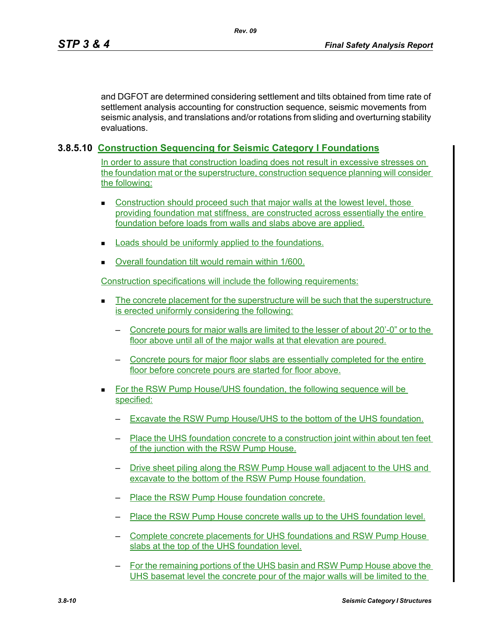and DGFOT are determined considering settlement and tilts obtained from time rate of settlement analysis accounting for construction sequence, seismic movements from seismic analysis, and translations and/or rotations from sliding and overturning stability evaluations.

## **3.8.5.10 Construction Sequencing for Seismic Category I Foundations**

In order to assure that construction loading does not result in excessive stresses on the foundation mat or the superstructure, construction sequence planning will consider the following:

- **Construction should proceed such that major walls at the lowest level, those** providing foundation mat stiffness, are constructed across essentially the entire foundation before loads from walls and slabs above are applied.
- **Loads should be uniformly applied to the foundations.**
- Overall foundation tilt would remain within 1/600.

Construction specifications will include the following requirements:

- The concrete placement for the superstructure will be such that the superstructure is erected uniformly considering the following:
	- Concrete pours for major walls are limited to the lesser of about 20'-0" or to the floor above until all of the major walls at that elevation are poured.
	- Concrete pours for major floor slabs are essentially completed for the entire floor before concrete pours are started for floor above.
- For the RSW Pump House/UHS foundation, the following sequence will be specified:
	- Excavate the RSW Pump House/UHS to the bottom of the UHS foundation.
	- Place the UHS foundation concrete to a construction joint within about ten feet of the junction with the RSW Pump House.
	- Drive sheet piling along the RSW Pump House wall adjacent to the UHS and excavate to the bottom of the RSW Pump House foundation.
	- Place the RSW Pump House foundation concrete.
	- Place the RSW Pump House concrete walls up to the UHS foundation level.
	- Complete concrete placements for UHS foundations and RSW Pump House slabs at the top of the UHS foundation level.
	- For the remaining portions of the UHS basin and RSW Pump House above the UHS basemat level the concrete pour of the major walls will be limited to the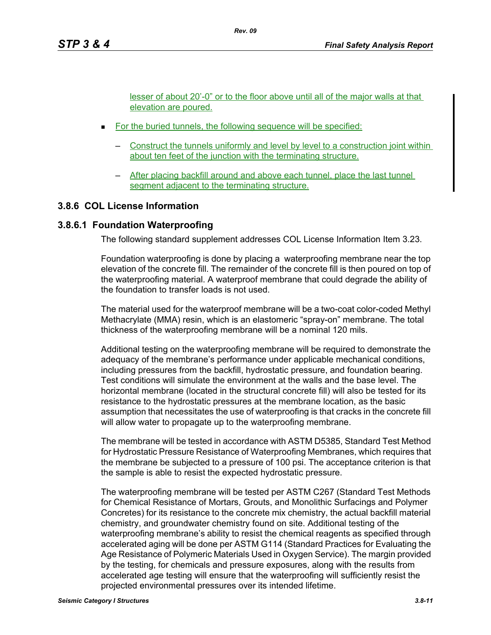lesser of about 20'-0" or to the floor above until all of the major walls at that elevation are poured.

- For the buried tunnels, the following sequence will be specified:
	- Construct the tunnels uniformly and level by level to a construction joint within about ten feet of the junction with the terminating structure.
	- After placing backfill around and above each tunnel, place the last tunnel segment adjacent to the terminating structure.

#### **3.8.6 COL License Information**

#### **3.8.6.1 Foundation Waterproofing**

The following standard supplement addresses COL License Information Item 3.23.

Foundation waterproofing is done by placing a waterproofing membrane near the top elevation of the concrete fill. The remainder of the concrete fill is then poured on top of the waterproofing material. A waterproof membrane that could degrade the ability of the foundation to transfer loads is not used.

The material used for the waterproof membrane will be a two-coat color-coded Methyl Methacrylate (MMA) resin, which is an elastomeric "spray-on" membrane. The total thickness of the waterproofing membrane will be a nominal 120 mils.

Additional testing on the waterproofing membrane will be required to demonstrate the adequacy of the membrane's performance under applicable mechanical conditions, including pressures from the backfill, hydrostatic pressure, and foundation bearing. Test conditions will simulate the environment at the walls and the base level. The horizontal membrane (located in the structural concrete fill) will also be tested for its resistance to the hydrostatic pressures at the membrane location, as the basic assumption that necessitates the use of waterproofing is that cracks in the concrete fill will allow water to propagate up to the waterproofing membrane.

The membrane will be tested in accordance with ASTM D5385, Standard Test Method for Hydrostatic Pressure Resistance of Waterproofing Membranes, which requires that the membrane be subjected to a pressure of 100 psi. The acceptance criterion is that the sample is able to resist the expected hydrostatic pressure.

The waterproofing membrane will be tested per ASTM C267 (Standard Test Methods for Chemical Resistance of Mortars, Grouts, and Monolithic Surfacings and Polymer Concretes) for its resistance to the concrete mix chemistry, the actual backfill material chemistry, and groundwater chemistry found on site. Additional testing of the waterproofing membrane's ability to resist the chemical reagents as specified through accelerated aging will be done per ASTM G114 (Standard Practices for Evaluating the Age Resistance of Polymeric Materials Used in Oxygen Service). The margin provided by the testing, for chemicals and pressure exposures, along with the results from accelerated age testing will ensure that the waterproofing will sufficiently resist the projected environmental pressures over its intended lifetime.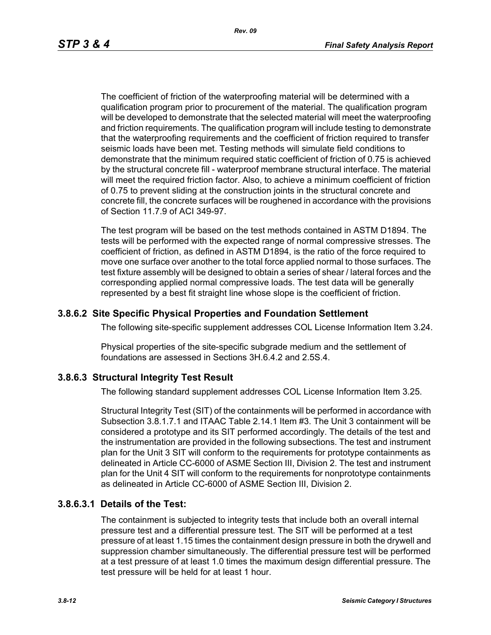The coefficient of friction of the waterproofing material will be determined with a qualification program prior to procurement of the material. The qualification program will be developed to demonstrate that the selected material will meet the waterproofing and friction requirements. The qualification program will include testing to demonstrate that the waterproofing requirements and the coefficient of friction required to transfer seismic loads have been met. Testing methods will simulate field conditions to demonstrate that the minimum required static coefficient of friction of 0.75 is achieved by the structural concrete fill - waterproof membrane structural interface. The material will meet the required friction factor. Also, to achieve a minimum coefficient of friction of 0.75 to prevent sliding at the construction joints in the structural concrete and concrete fill, the concrete surfaces will be roughened in accordance with the provisions of Section 11.7.9 of ACI 349-97.

The test program will be based on the test methods contained in ASTM D1894. The tests will be performed with the expected range of normal compressive stresses. The coefficient of friction, as defined in ASTM D1894, is the ratio of the force required to move one surface over another to the total force applied normal to those surfaces. The test fixture assembly will be designed to obtain a series of shear / lateral forces and the corresponding applied normal compressive loads. The test data will be generally represented by a best fit straight line whose slope is the coefficient of friction.

#### **3.8.6.2 Site Specific Physical Properties and Foundation Settlement**

The following site-specific supplement addresses COL License Information Item 3.24.

Physical properties of the site-specific subgrade medium and the settlement of foundations are assessed in Sections 3H.6.4.2 and 2.5S.4.

#### **3.8.6.3 Structural Integrity Test Result**

The following standard supplement addresses COL License Information Item 3.25.

Structural Integrity Test (SIT) of the containments will be performed in accordance with Subsection 3.8.1.7.1 and ITAAC Table 2.14.1 Item #3. The Unit 3 containment will be considered a prototype and its SIT performed accordingly. The details of the test and the instrumentation are provided in the following subsections. The test and instrument plan for the Unit 3 SIT will conform to the requirements for prototype containments as delineated in Article CC-6000 of ASME Section III, Division 2. The test and instrument plan for the Unit 4 SIT will conform to the requirements for nonprototype containments as delineated in Article CC-6000 of ASME Section III, Division 2.

#### **3.8.6.3.1 Details of the Test:**

The containment is subjected to integrity tests that include both an overall internal pressure test and a differential pressure test. The SIT will be performed at a test pressure of at least 1.15 times the containment design pressure in both the drywell and suppression chamber simultaneously. The differential pressure test will be performed at a test pressure of at least 1.0 times the maximum design differential pressure. The test pressure will be held for at least 1 hour.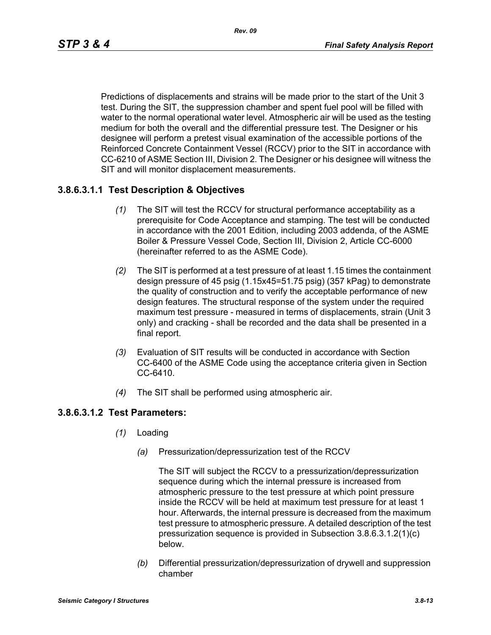Predictions of displacements and strains will be made prior to the start of the Unit 3 test. During the SIT, the suppression chamber and spent fuel pool will be filled with water to the normal operational water level. Atmospheric air will be used as the testing medium for both the overall and the differential pressure test. The Designer or his designee will perform a pretest visual examination of the accessible portions of the Reinforced Concrete Containment Vessel (RCCV) prior to the SIT in accordance with CC-6210 of ASME Section III, Division 2. The Designer or his designee will witness the SIT and will monitor displacement measurements.

## **3.8.6.3.1.1 Test Description & Objectives**

- *(1)* The SIT will test the RCCV for structural performance acceptability as a prerequisite for Code Acceptance and stamping. The test will be conducted in accordance with the 2001 Edition, including 2003 addenda, of the ASME Boiler & Pressure Vessel Code, Section III, Division 2, Article CC-6000 (hereinafter referred to as the ASME Code).
- *(2)* The SIT is performed at a test pressure of at least 1.15 times the containment design pressure of 45 psig (1.15x45=51.75 psig) (357 kPag) to demonstrate the quality of construction and to verify the acceptable performance of new design features. The structural response of the system under the required maximum test pressure - measured in terms of displacements, strain (Unit 3 only) and cracking - shall be recorded and the data shall be presented in a final report.
- *(3)* Evaluation of SIT results will be conducted in accordance with Section CC-6400 of the ASME Code using the acceptance criteria given in Section CC-6410.
- *(4)* The SIT shall be performed using atmospheric air.

## **3.8.6.3.1.2 Test Parameters:**

- *(1)* Loading
	- *(a)* Pressurization/depressurization test of the RCCV

The SIT will subject the RCCV to a pressurization/depressurization sequence during which the internal pressure is increased from atmospheric pressure to the test pressure at which point pressure inside the RCCV will be held at maximum test pressure for at least 1 hour. Afterwards, the internal pressure is decreased from the maximum test pressure to atmospheric pressure. A detailed description of the test pressurization sequence is provided in Subsection 3.8.6.3.1.2(1)(c) below.

*(b)* Differential pressurization/depressurization of drywell and suppression chamber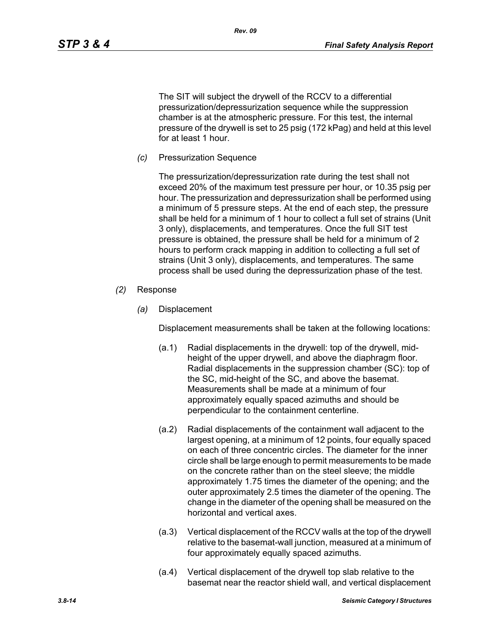The SIT will subject the drywell of the RCCV to a differential pressurization/depressurization sequence while the suppression chamber is at the atmospheric pressure. For this test, the internal pressure of the drywell is set to 25 psig (172 kPag) and held at this level for at least 1 hour.

*Rev. 09*

*(c)* Pressurization Sequence

The pressurization/depressurization rate during the test shall not exceed 20% of the maximum test pressure per hour, or 10.35 psig per hour. The pressurization and depressurization shall be performed using a minimum of 5 pressure steps. At the end of each step, the pressure shall be held for a minimum of 1 hour to collect a full set of strains (Unit 3 only), displacements, and temperatures. Once the full SIT test pressure is obtained, the pressure shall be held for a minimum of 2 hours to perform crack mapping in addition to collecting a full set of strains (Unit 3 only), displacements, and temperatures. The same process shall be used during the depressurization phase of the test.

- *(2)* Response
	- *(a)* Displacement

Displacement measurements shall be taken at the following locations:

- (a.1) Radial displacements in the drywell: top of the drywell, midheight of the upper drywell, and above the diaphragm floor. Radial displacements in the suppression chamber (SC): top of the SC, mid-height of the SC, and above the basemat. Measurements shall be made at a minimum of four approximately equally spaced azimuths and should be perpendicular to the containment centerline.
- (a.2) Radial displacements of the containment wall adjacent to the largest opening, at a minimum of 12 points, four equally spaced on each of three concentric circles. The diameter for the inner circle shall be large enough to permit measurements to be made on the concrete rather than on the steel sleeve; the middle approximately 1.75 times the diameter of the opening; and the outer approximately 2.5 times the diameter of the opening. The change in the diameter of the opening shall be measured on the horizontal and vertical axes.
- (a.3) Vertical displacement of the RCCV walls at the top of the drywell relative to the basemat-wall junction, measured at a minimum of four approximately equally spaced azimuths.
- (a.4) Vertical displacement of the drywell top slab relative to the basemat near the reactor shield wall, and vertical displacement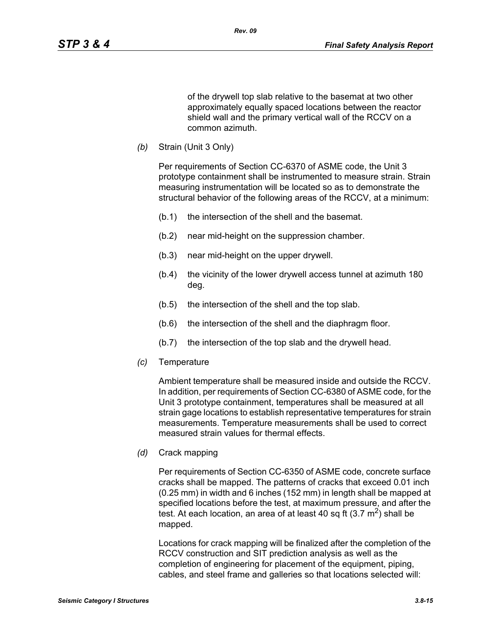of the drywell top slab relative to the basemat at two other approximately equally spaced locations between the reactor shield wall and the primary vertical wall of the RCCV on a common azimuth.

*(b)* Strain (Unit 3 Only)

Per requirements of Section CC-6370 of ASME code, the Unit 3 prototype containment shall be instrumented to measure strain. Strain measuring instrumentation will be located so as to demonstrate the structural behavior of the following areas of the RCCV, at a minimum:

- (b.1) the intersection of the shell and the basemat.
- (b.2) near mid-height on the suppression chamber.
- (b.3) near mid-height on the upper drywell.
- (b.4) the vicinity of the lower drywell access tunnel at azimuth 180 deg.
- (b.5) the intersection of the shell and the top slab.
- (b.6) the intersection of the shell and the diaphragm floor.
- (b.7) the intersection of the top slab and the drywell head.
- *(c)* Temperature

Ambient temperature shall be measured inside and outside the RCCV. In addition, per requirements of Section CC-6380 of ASME code, for the Unit 3 prototype containment, temperatures shall be measured at all strain gage locations to establish representative temperatures for strain measurements. Temperature measurements shall be used to correct measured strain values for thermal effects.

*(d)* Crack mapping

Per requirements of Section CC-6350 of ASME code, concrete surface cracks shall be mapped. The patterns of cracks that exceed 0.01 inch (0.25 mm) in width and 6 inches (152 mm) in length shall be mapped at specified locations before the test, at maximum pressure, and after the test. At each location, an area of at least 40 sq ft  $(3.7 \text{ m}^2)$  shall be mapped.

Locations for crack mapping will be finalized after the completion of the RCCV construction and SIT prediction analysis as well as the completion of engineering for placement of the equipment, piping, cables, and steel frame and galleries so that locations selected will: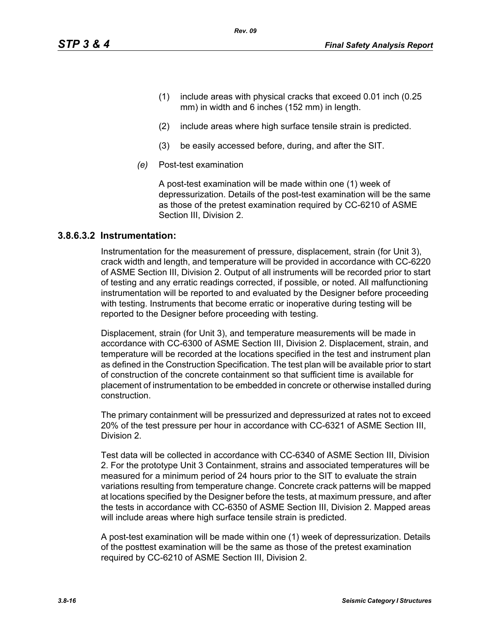- (1) include areas with physical cracks that exceed 0.01 inch (0.25 mm) in width and 6 inches (152 mm) in length.
- (2) include areas where high surface tensile strain is predicted.
- (3) be easily accessed before, during, and after the SIT.

*Rev. 09*

*(e)* Post-test examination

A post-test examination will be made within one (1) week of depressurization. Details of the post-test examination will be the same as those of the pretest examination required by CC-6210 of ASME Section III, Division 2.

#### **3.8.6.3.2 Instrumentation:**

Instrumentation for the measurement of pressure, displacement, strain (for Unit 3), crack width and length, and temperature will be provided in accordance with CC-6220 of ASME Section III, Division 2. Output of all instruments will be recorded prior to start of testing and any erratic readings corrected, if possible, or noted. All malfunctioning instrumentation will be reported to and evaluated by the Designer before proceeding with testing. Instruments that become erratic or inoperative during testing will be reported to the Designer before proceeding with testing.

Displacement, strain (for Unit 3), and temperature measurements will be made in accordance with CC-6300 of ASME Section III, Division 2. Displacement, strain, and temperature will be recorded at the locations specified in the test and instrument plan as defined in the Construction Specification. The test plan will be available prior to start of construction of the concrete containment so that sufficient time is available for placement of instrumentation to be embedded in concrete or otherwise installed during construction.

The primary containment will be pressurized and depressurized at rates not to exceed 20% of the test pressure per hour in accordance with CC-6321 of ASME Section III, Division 2.

Test data will be collected in accordance with CC-6340 of ASME Section III, Division 2. For the prototype Unit 3 Containment, strains and associated temperatures will be measured for a minimum period of 24 hours prior to the SIT to evaluate the strain variations resulting from temperature change. Concrete crack patterns will be mapped at locations specified by the Designer before the tests, at maximum pressure, and after the tests in accordance with CC-6350 of ASME Section III, Division 2. Mapped areas will include areas where high surface tensile strain is predicted.

A post-test examination will be made within one (1) week of depressurization. Details of the posttest examination will be the same as those of the pretest examination required by CC-6210 of ASME Section III, Division 2.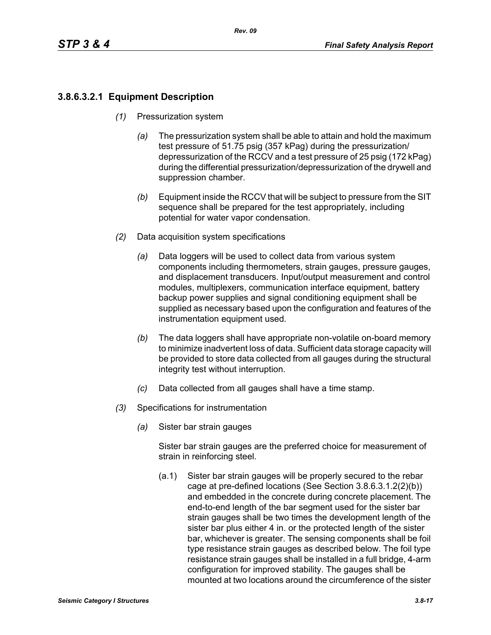# **3.8.6.3.2.1 Equipment Description**

- *(1)* Pressurization system
	- *(a)* The pressurization system shall be able to attain and hold the maximum test pressure of 51.75 psig (357 kPag) during the pressurization/ depressurization of the RCCV and a test pressure of 25 psig (172 kPag) during the differential pressurization/depressurization of the drywell and suppression chamber.
	- *(b)* Equipment inside the RCCV that will be subject to pressure from the SIT sequence shall be prepared for the test appropriately, including potential for water vapor condensation.
- *(2)* Data acquisition system specifications
	- *(a)* Data loggers will be used to collect data from various system components including thermometers, strain gauges, pressure gauges, and displacement transducers. Input/output measurement and control modules, multiplexers, communication interface equipment, battery backup power supplies and signal conditioning equipment shall be supplied as necessary based upon the configuration and features of the instrumentation equipment used.
	- *(b)* The data loggers shall have appropriate non-volatile on-board memory to minimize inadvertent loss of data. Sufficient data storage capacity will be provided to store data collected from all gauges during the structural integrity test without interruption.
	- *(c)* Data collected from all gauges shall have a time stamp.
- *(3)* Specifications for instrumentation
	- *(a)* Sister bar strain gauges

Sister bar strain gauges are the preferred choice for measurement of strain in reinforcing steel.

(a.1) Sister bar strain gauges will be properly secured to the rebar cage at pre-defined locations (See Section 3.8.6.3.1.2(2)(b)) and embedded in the concrete during concrete placement. The end-to-end length of the bar segment used for the sister bar strain gauges shall be two times the development length of the sister bar plus either 4 in. or the protected length of the sister bar, whichever is greater. The sensing components shall be foil type resistance strain gauges as described below. The foil type resistance strain gauges shall be installed in a full bridge, 4-arm configuration for improved stability. The gauges shall be mounted at two locations around the circumference of the sister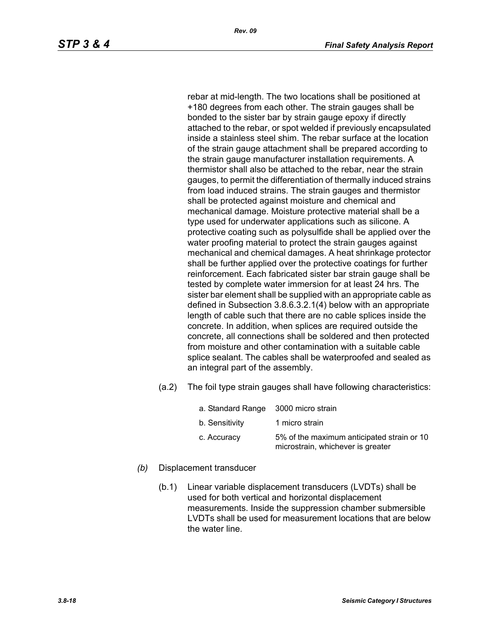rebar at mid-length. The two locations shall be positioned at +180 degrees from each other. The strain gauges shall be bonded to the sister bar by strain gauge epoxy if directly attached to the rebar, or spot welded if previously encapsulated inside a stainless steel shim. The rebar surface at the location of the strain gauge attachment shall be prepared according to the strain gauge manufacturer installation requirements. A thermistor shall also be attached to the rebar, near the strain gauges, to permit the differentiation of thermally induced strains from load induced strains. The strain gauges and thermistor shall be protected against moisture and chemical and mechanical damage. Moisture protective material shall be a type used for underwater applications such as silicone. A protective coating such as polysulfide shall be applied over the water proofing material to protect the strain gauges against mechanical and chemical damages. A heat shrinkage protector shall be further applied over the protective coatings for further reinforcement. Each fabricated sister bar strain gauge shall be tested by complete water immersion for at least 24 hrs. The sister bar element shall be supplied with an appropriate cable as defined in Subsection 3.8.6.3.2.1(4) below with an appropriate length of cable such that there are no cable splices inside the concrete. In addition, when splices are required outside the concrete, all connections shall be soldered and then protected from moisture and other contamination with a suitable cable splice sealant. The cables shall be waterproofed and sealed as an integral part of the assembly.

*Rev. 09*

(a.2) The foil type strain gauges shall have following characteristics:

| a. Standard Range 3000 micro strain |                                                                                 |
|-------------------------------------|---------------------------------------------------------------------------------|
| b. Sensitivity                      | 1 micro strain                                                                  |
| c. Accuracy                         | 5% of the maximum anticipated strain or 10<br>microstrain, whichever is greater |

- *(b)* Displacement transducer
	- (b.1) Linear variable displacement transducers (LVDTs) shall be used for both vertical and horizontal displacement measurements. Inside the suppression chamber submersible LVDTs shall be used for measurement locations that are below the water line.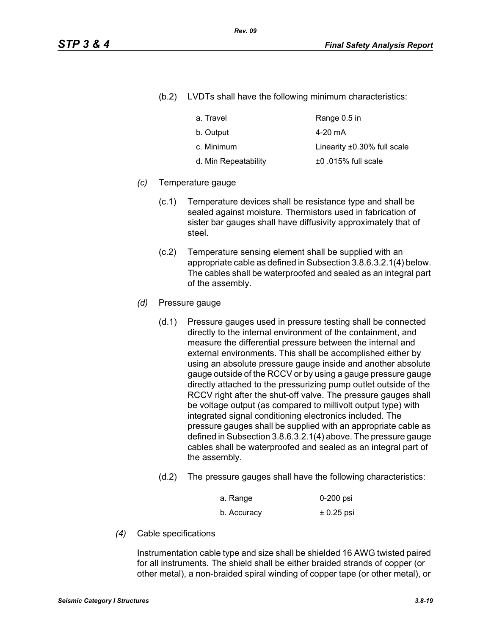(b.2) LVDTs shall have the following minimum characteristics:

| a. Travel            | Range 0.5 in                      |
|----------------------|-----------------------------------|
| b. Output            | 4-20 mA                           |
| c. Minimum           | Linearity $\pm 0.30\%$ full scale |
| d. Min Repeatability | $±0.015\%$ full scale             |

#### *(c)* Temperature gauge

- (c.1) Temperature devices shall be resistance type and shall be sealed against moisture. Thermistors used in fabrication of sister bar gauges shall have diffusivity approximately that of steel.
- (c.2) Temperature sensing element shall be supplied with an appropriate cable as defined in Subsection 3.8.6.3.2.1(4) below. The cables shall be waterproofed and sealed as an integral part of the assembly.
- *(d)* Pressure gauge
	- (d.1) Pressure gauges used in pressure testing shall be connected directly to the internal environment of the containment, and measure the differential pressure between the internal and external environments. This shall be accomplished either by using an absolute pressure gauge inside and another absolute gauge outside of the RCCV or by using a gauge pressure gauge directly attached to the pressurizing pump outlet outside of the RCCV right after the shut-off valve. The pressure gauges shall be voltage output (as compared to millivolt output type) with integrated signal conditioning electronics included. The pressure gauges shall be supplied with an appropriate cable as defined in Subsection 3.8.6.3.2.1(4) above. The pressure gauge cables shall be waterproofed and sealed as an integral part of the assembly.
	- (d.2) The pressure gauges shall have the following characteristics:

| a. Range    | 0-200 psi    |
|-------------|--------------|
| b. Accuracy | $± 0.25$ psi |

*(4)* Cable specifications

Instrumentation cable type and size shall be shielded 16 AWG twisted paired for all instruments. The shield shall be either braided strands of copper (or other metal), a non-braided spiral winding of copper tape (or other metal), or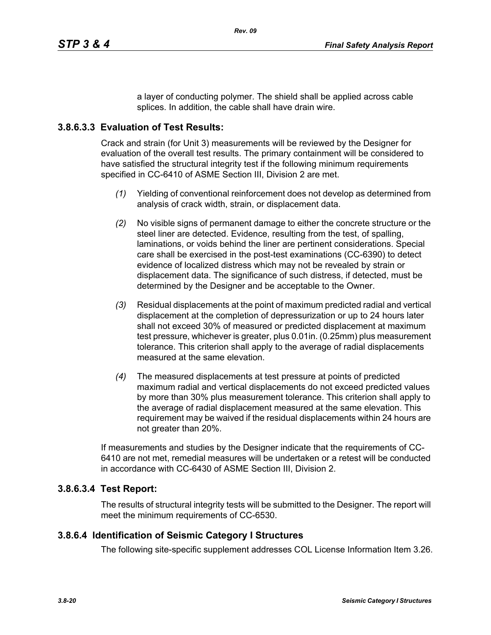a layer of conducting polymer. The shield shall be applied across cable splices. In addition, the cable shall have drain wire.

## **3.8.6.3.3 Evaluation of Test Results:**

Crack and strain (for Unit 3) measurements will be reviewed by the Designer for evaluation of the overall test results. The primary containment will be considered to have satisfied the structural integrity test if the following minimum requirements specified in CC-6410 of ASME Section III, Division 2 are met.

- *(1)* Yielding of conventional reinforcement does not develop as determined from analysis of crack width, strain, or displacement data.
- *(2)* No visible signs of permanent damage to either the concrete structure or the steel liner are detected. Evidence, resulting from the test, of spalling, laminations, or voids behind the liner are pertinent considerations. Special care shall be exercised in the post-test examinations (CC-6390) to detect evidence of localized distress which may not be revealed by strain or displacement data. The significance of such distress, if detected, must be determined by the Designer and be acceptable to the Owner.
- *(3)* Residual displacements at the point of maximum predicted radial and vertical displacement at the completion of depressurization or up to 24 hours later shall not exceed 30% of measured or predicted displacement at maximum test pressure, whichever is greater, plus 0.01in. (0.25mm) plus measurement tolerance. This criterion shall apply to the average of radial displacements measured at the same elevation.
- *(4)* The measured displacements at test pressure at points of predicted maximum radial and vertical displacements do not exceed predicted values by more than 30% plus measurement tolerance. This criterion shall apply to the average of radial displacement measured at the same elevation. This requirement may be waived if the residual displacements within 24 hours are not greater than 20%.

If measurements and studies by the Designer indicate that the requirements of CC-6410 are not met, remedial measures will be undertaken or a retest will be conducted in accordance with CC-6430 of ASME Section III, Division 2.

## **3.8.6.3.4 Test Report:**

The results of structural integrity tests will be submitted to the Designer. The report will meet the minimum requirements of CC-6530.

## **3.8.6.4 Identification of Seismic Category I Structures**

The following site-specific supplement addresses COL License Information Item 3.26.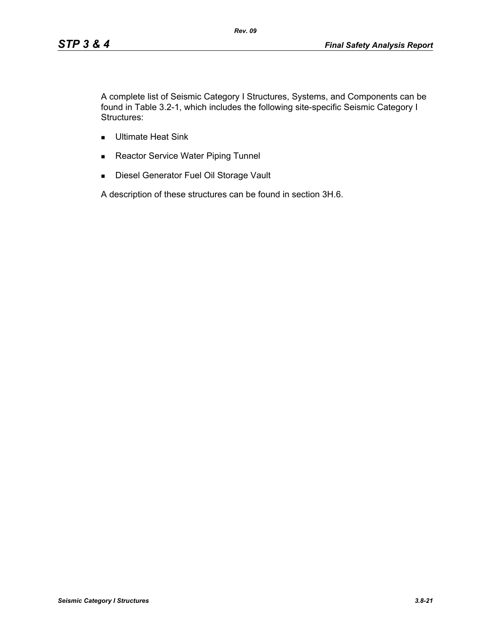A complete list of Seismic Category I Structures, Systems, and Components can be found in Table 3.2-1, which includes the following site-specific Seismic Category I Structures:

- **Ultimate Heat Sink**
- Reactor Service Water Piping Tunnel
- **Diesel Generator Fuel Oil Storage Vault**

A description of these structures can be found in section 3H.6.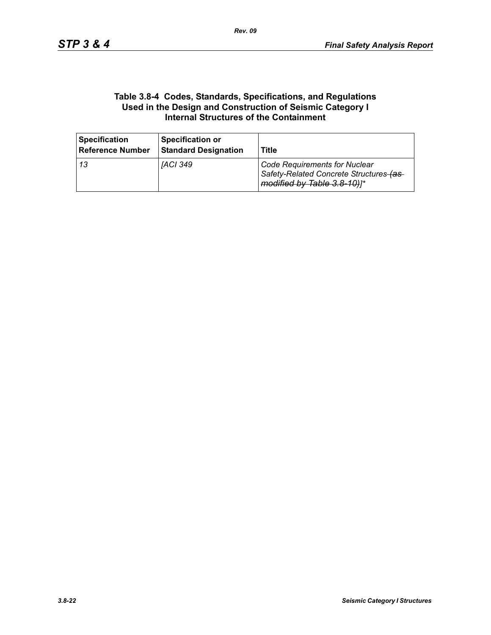#### **Table 3.8-4 Codes, Standards, Specifications, and Regulations Used in the Design and Construction of Seismic Category I Internal Structures of the Containment**

| <b>Specification</b><br><b>Reference Number</b> | <b>Specification or</b><br><b>Standard Designation</b> | <b>Title</b>                                                                                            |
|-------------------------------------------------|--------------------------------------------------------|---------------------------------------------------------------------------------------------------------|
| -13                                             | [ACI 349                                               | Code Requirements for Nuclear<br>Safety-Related Concrete Structures-(as-<br>modified by Table 3.8-10)]* |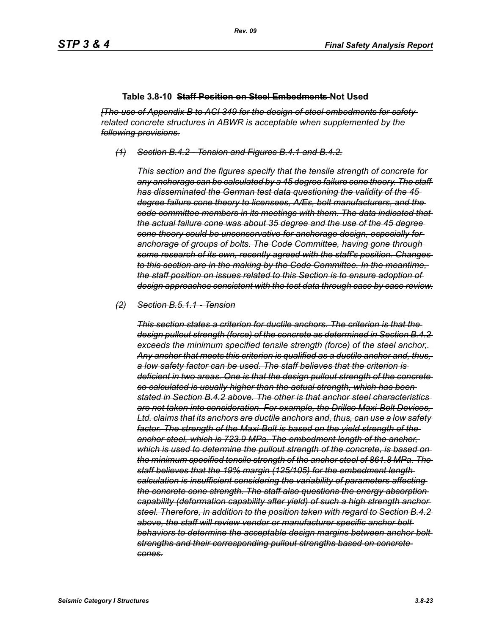#### **Table 3.8-10 Staff Position on Steel Embedments Not Used**

*[The use of Appendix B to ACI 349 for the design of steel embedments for safetyrelated concrete structures in ABWR is acceptable when supplemented by the following provisions.*

*(1) Section B.4.2 - Tension and Figures B.4.1 and B.4.2.*

*This section and the figures specify that the tensile strength of concrete for any anchorage can be calculated by a 45 degree failure cone theory. The staff has disseminated the German test data questioning the validity of the 45 degree failure cone theory to licensees, A/Es, bolt manufacturers, and the code committee members in its meetings with them. The data indicated that the actual failure cone was about 35 degree and the use of the 45 degree cone theory could be unconservative for anchorage design, especially for anchorage of groups of bolts. The Code Committee, having gone through some research of its own, recently agreed with the staff's position. Changes to this section are in the making by the Code Committee. In the meantime, the staff position on issues related to this Section is to ensure adoption of design approaches consistent with the test data through case by case review.*

#### *(2) Section B.5.1.1 - Tension*

*This section states a criterion for ductile anchors. The criterion is that the design pullout strength (force) of the concrete as determined in Section B.4.2 exceeds the minimum specified tensile strength (force) of the steel anchor,. Any anchor that meets this criterion is qualified as a ductile anchor and, thus, a low safety factor can be used. The staff believes that the criterion is deficient in two areas. One is that the design pullout strength of the concrete so calculated is usually higher than the actual strength, which has been stated in Section B.4.2 above. The other is that anchor steel characteristics are not taken into consideration. For example, the Drillco Maxi-Bolt Devices, Ltd. claims that its anchors are ductile anchors and, thus, can use a low safety factor. The strength of the Maxi-Bolt is based on the yield strength of the anchor steel, which is 723.9 MPa. The embedment length of the anchor, which is used to determine the pullout strength of the concrete, is based on the minimum specified tensile strength of the anchor steel of 861.8 MPa. The staff believes that the 19% margin (125/105) for the embedment length calculation is insufficient considering the variability of parameters affecting the concrete cone strength. The staff also questions the energy absorption capability (deformation capability after yield) of such a high strength anchor steel. Therefore, in addition to the position taken with regard to Section B.4.2 above, the staff will review vendor or manufacturer specific anchor bolt behaviors to determine the acceptable design margins between anchor bolt strengths and their corresponding pullout strengths based on concrete cones.*